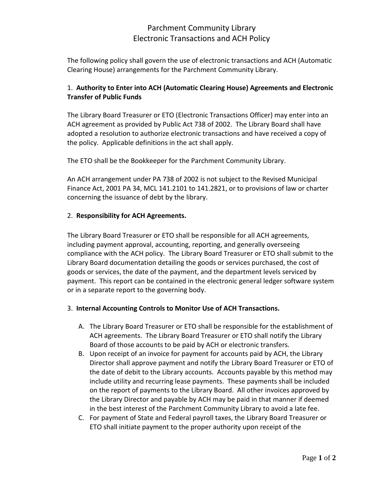## Parchment Community Library Electronic Transactions and ACH Policy

The following policy shall govern the use of electronic transactions and ACH (Automatic Clearing House) arrangements for the Parchment Community Library.

### 1. **Authority to Enter into ACH (Automatic Clearing House) Agreements and Electronic Transfer of Public Funds**

The Library Board Treasurer or ETO (Electronic Transactions Officer) may enter into an ACH agreement as provided by Public Act 738 of 2002. The Library Board shall have adopted a resolution to authorize electronic transactions and have received a copy of the policy. Applicable definitions in the act shall apply.

The ETO shall be the Bookkeeper for the Parchment Community Library.

An ACH arrangement under PA 738 of 2002 is not subject to the Revised Municipal Finance Act, 2001 PA 34, MCL 141.2101 to 141.2821, or to provisions of law or charter concerning the issuance of debt by the library.

### 2. **Responsibility for ACH Agreements.**

The Library Board Treasurer or ETO shall be responsible for all ACH agreements, including payment approval, accounting, reporting, and generally overseeing compliance with the ACH policy. The Library Board Treasurer or ETO shall submit to the Library Board documentation detailing the goods or services purchased, the cost of goods or services, the date of the payment, and the department levels serviced by payment. This report can be contained in the electronic general ledger software system or in a separate report to the governing body.

#### 3. **Internal Accounting Controls to Monitor Use of ACH Transactions.**

- A. The Library Board Treasurer or ETO shall be responsible for the establishment of ACH agreements. The Library Board Treasurer or ETO shall notify the Library Board of those accounts to be paid by ACH or electronic transfers.
- B. Upon receipt of an invoice for payment for accounts paid by ACH, the Library Director shall approve payment and notify the Library Board Treasurer or ETO of the date of debit to the Library accounts. Accounts payable by this method may include utility and recurring lease payments. These payments shall be included on the report of payments to the Library Board. All other invoices approved by the Library Director and payable by ACH may be paid in that manner if deemed in the best interest of the Parchment Community Library to avoid a late fee.
- C. For payment of State and Federal payroll taxes, the Library Board Treasurer or ETO shall initiate payment to the proper authority upon receipt of the